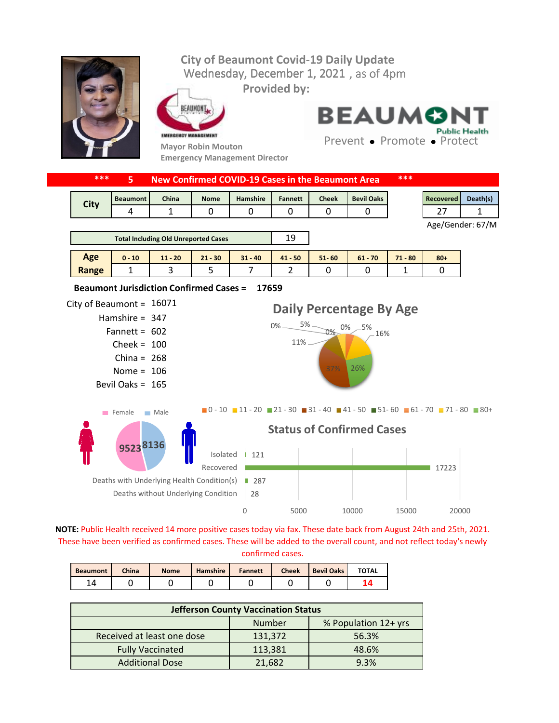## Wednesday, December 1, 2021, as of 4pm **City of Beaumont Covid-19 Daily Update**



**Provided by:**



**Mayor Robin Mouton Emergency Management Director** **BEAUMONT Public Health** 

Prevent • Promote • Protect

|                                                                                                                                                                                                            | ***                                                     |                    |                    |                                  |                                                          |                |              |                   | ***       |                  |          |  |
|------------------------------------------------------------------------------------------------------------------------------------------------------------------------------------------------------------|---------------------------------------------------------|--------------------|--------------------|----------------------------------|----------------------------------------------------------|----------------|--------------|-------------------|-----------|------------------|----------|--|
|                                                                                                                                                                                                            |                                                         | 5                  |                    |                                  | <b>New Confirmed COVID-19 Cases in the Beaumont Area</b> |                |              |                   |           |                  |          |  |
|                                                                                                                                                                                                            | <b>City</b>                                             | <b>Beaumont</b>    | China              | <b>Nome</b>                      | Hamshire                                                 | <b>Fannett</b> | <b>Cheek</b> | <b>Bevil Oaks</b> |           | <b>Recovered</b> | Death(s) |  |
|                                                                                                                                                                                                            |                                                         | 4                  | 1                  | 0                                | 0                                                        | 0              | 0            | 0                 |           | 27               | 1        |  |
|                                                                                                                                                                                                            |                                                         |                    |                    |                                  |                                                          |                |              |                   |           | Age/Gender: 67/M |          |  |
|                                                                                                                                                                                                            | <b>Total Including Old Unreported Cases</b>             |                    |                    |                                  |                                                          | 19             |              |                   |           |                  |          |  |
|                                                                                                                                                                                                            | Age                                                     | $0 - 10$           | $11 - 20$          | $21 - 30$                        | $31 - 40$                                                | $41 - 50$      | $51 - 60$    | $61 - 70$         | $71 - 80$ | $80 +$           |          |  |
|                                                                                                                                                                                                            | Range                                                   | 1                  | 3                  | 5                                | $\overline{7}$                                           | $\overline{2}$ | $\mathbf{0}$ | 0                 | 1         | 0                |          |  |
|                                                                                                                                                                                                            |                                                         |                    |                    |                                  |                                                          |                |              |                   |           |                  |          |  |
|                                                                                                                                                                                                            | <b>Beaumont Jurisdiction Confirmed Cases =</b><br>17659 |                    |                    |                                  |                                                          |                |              |                   |           |                  |          |  |
| City of Beaumont = $16071$                                                                                                                                                                                 |                                                         |                    |                    |                                  |                                                          |                |              |                   |           |                  |          |  |
| Daily Percentage By Age<br>Hamshire = $347$                                                                                                                                                                |                                                         |                    |                    |                                  |                                                          |                |              |                   |           |                  |          |  |
| $0\% - 5\% - 0\% - 5\%$<br>Fannett = $602$<br>16%                                                                                                                                                          |                                                         |                    |                    |                                  |                                                          |                |              |                   |           |                  |          |  |
|                                                                                                                                                                                                            | Cheek = $100$                                           |                    |                    |                                  |                                                          | $11\%$ $-$     |              |                   |           |                  |          |  |
|                                                                                                                                                                                                            | China = $268$                                           |                    |                    |                                  |                                                          |                |              |                   |           |                  |          |  |
| Nome = $106$                                                                                                                                                                                               |                                                         |                    |                    |                                  | 37%<br>26%                                               |                |              |                   |           |                  |          |  |
|                                                                                                                                                                                                            |                                                         | Bevil Oaks = $165$ |                    |                                  |                                                          |                |              |                   |           |                  |          |  |
|                                                                                                                                                                                                            |                                                         |                    |                    |                                  |                                                          |                |              |                   |           |                  |          |  |
| $\blacksquare$ 0 - 10 $\blacksquare$ 11 - 20 $\blacksquare$ 21 - 30 $\blacksquare$ 31 - 40 $\blacksquare$ 41 - 50 $\blacksquare$ 51 - 60 $\blacksquare$ 61 - 70 $\blacksquare$ 71 - 80 $\blacksquare$ 80 + |                                                         |                    |                    |                                  |                                                          |                |              |                   |           |                  |          |  |
| $F$ Female<br>$\blacksquare$ Male                                                                                                                                                                          |                                                         |                    |                    |                                  |                                                          |                |              |                   |           |                  |          |  |
| 95238136                                                                                                                                                                                                   |                                                         |                    |                    | <b>Status of Confirmed Cases</b> |                                                          |                |              |                   |           |                  |          |  |
|                                                                                                                                                                                                            |                                                         |                    |                    |                                  |                                                          |                |              |                   |           |                  |          |  |
| Isolated<br>Recovered<br>Deaths with Underlying Health Condition(s)<br>Deaths without Underlying Condition                                                                                                 |                                                         |                    |                    | 121                              |                                                          |                |              |                   |           |                  |          |  |
|                                                                                                                                                                                                            |                                                         |                    |                    |                                  |                                                          |                |              | 17223             |           |                  |          |  |
|                                                                                                                                                                                                            |                                                         |                    | $\blacksquare$ 287 |                                  |                                                          |                |              |                   |           |                  |          |  |
|                                                                                                                                                                                                            |                                                         |                    | 28                 |                                  |                                                          |                |              |                   |           |                  |          |  |
|                                                                                                                                                                                                            |                                                         |                    |                    | 0                                | 5000                                                     |                | 10000        | 15000             | 20000     |                  |          |  |

**NOTE:** Public Health received 14 more positive cases today via fax. These date back from August 24th and 25th, 2021. These have been verified as confirmed cases. These will be added to the overall count, and not reflect today's newly confirmed cases.

| <b>Beaumont</b> | China | <b>Nome</b> | <b>Hamshire</b> | <b>Fannett</b> | <b>Cheek</b> | <b>Bevil Oaks</b> | <b>TOTAL</b> |
|-----------------|-------|-------------|-----------------|----------------|--------------|-------------------|--------------|
|                 |       |             |                 |                |              |                   |              |

| <b>Jefferson County Vaccination Status</b> |         |                      |  |  |  |  |
|--------------------------------------------|---------|----------------------|--|--|--|--|
|                                            | Number  | % Population 12+ yrs |  |  |  |  |
| Received at least one dose                 | 131,372 | 56.3%                |  |  |  |  |
| <b>Fully Vaccinated</b>                    | 113,381 | 48.6%                |  |  |  |  |
| <b>Additional Dose</b>                     | 21,682  | 9.3%                 |  |  |  |  |